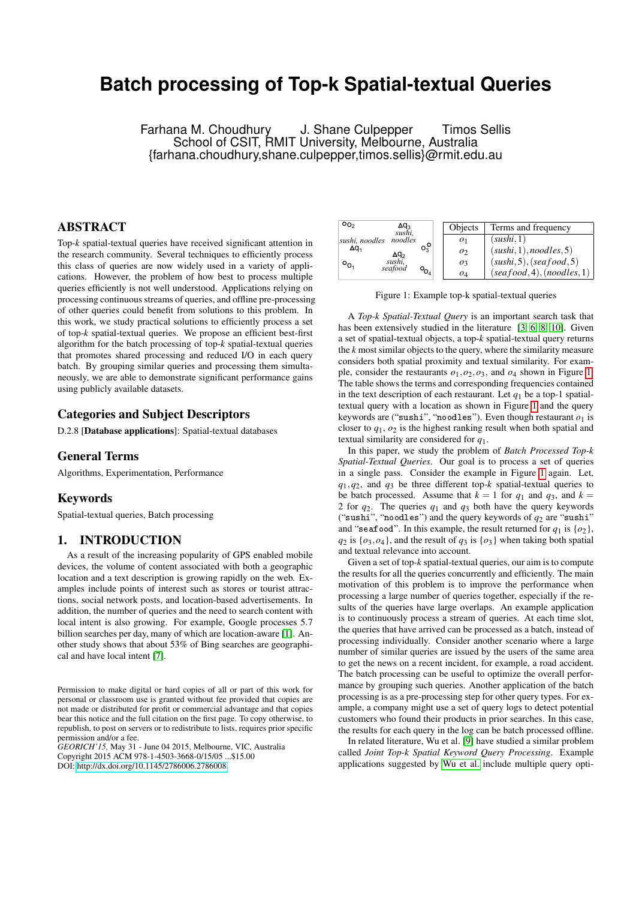# **Batch processing of Top-k Spatial-textual Queries**

Farhana M. Choudhury J. Shane Culpepper Timos Sellis School of CSIT, RMIT University, Melbourne, Australia {farhana.choudhury,shane.culpepper,timos.sellis}@rmit.edu.au

# ABSTRACT

Top-*k* spatial-textual queries have received significant attention in the research community. Several techniques to efficiently process this class of queries are now widely used in a variety of applications. However, the problem of how best to process multiple queries efficiently is not well understood. Applications relying on processing continuous streams of queries, and offline pre-processing of other queries could benefit from solutions to this problem. In this work, we study practical solutions to efficiently process a set of top-*k* spatial-textual queries. We propose an efficient best-first algorithm for the batch processing of top-*k* spatial-textual queries that promotes shared processing and reduced I/O in each query batch. By grouping similar queries and processing them simultaneously, we are able to demonstrate significant performance gains using publicly available datasets.

## Categories and Subject Descriptors

D.2.8 [Database applications]: Spatial-textual databases

## General Terms

Algorithms, Experimentation, Performance

## Keywords

Spatial-textual queries, Batch processing

## 1. INTRODUCTION

As a result of the increasing popularity of GPS enabled mobile devices, the volume of content associated with both a geographic location and a text description is growing rapidly on the web. Examples include points of interest such as stores or tourist attractions, social network posts, and location-based advertisements. In addition, the number of queries and the need to search content with local intent is also growing. For example, Google processes 5.7 billion searches per day, many of which are location-aware [\[1\]](#page-5-0). Another study shows that about 53% of Bing searches are geographical and have local intent [\[7\]](#page-5-1).

*GEORICH'15,* May 31 - June 04 2015, Melbourne, VIC, Australia Copyright 2015 ACM 978-1-4503-3668-0/15/05 ...\$15.00 DOI: [http://dx.doi.org/10.1145/2786006.2786008.](http://dx.doi.org/10.1145/2786006.2786008)

<span id="page-0-0"></span>

| O <sub>0</sub><br>∆q <sub>3</sub><br>sushi, |             | Objects        | Terms and frequency        |
|---------------------------------------------|-------------|----------------|----------------------------|
| noodles<br>sushi, noodles                   |             | O <sub>1</sub> | (sushi, 1)                 |
| $\Delta q_1$<br>$\Delta q_2$                | $O_3^O$     | O <sub>2</sub> | (sushi, 1), no odles, 5)   |
| sushi,<br>$\circ_{\mathsf{O}_1}$<br>seafood |             | $O_3$          | (sushi, 5), (seqfood, 5)   |
|                                             | $O_{O_{4}}$ | $O_4$          | (seafood, 4), (noodles, 1) |

Figure 1: Example top-k spatial-textual queries

A *Top-k Spatial-Textual Query* is an important search task that has been extensively studied in the literature [\[3,](#page-5-2) [6,](#page-5-3) [8,](#page-5-4) [10\]](#page-5-5). Given a set of spatial-textual objects, a top-*k* spatial-textual query returns the *k* most similar objects to the query, where the similarity measure considers both spatial proximity and textual similarity. For example, consider the restaurants  $o_1$ ,  $o_2$ ,  $o_3$ , and  $o_4$  shown in Figure [1.](#page-0-0) The table shows the terms and corresponding frequencies contained in the text description of each restaurant. Let  $q_1$  be a top-1 spatialtextual query with a location as shown in Figure [1](#page-0-0) and the query keywords are ("sushi", "noodles"). Even though restaurant  $\rho_1$  is closer to  $q_1$ ,  $q_2$  is the highest ranking result when both spatial and textual similarity are considered for *q*1.

In this paper, we study the problem of *Batch Processed Top-k Spatial-Textual Queries*. Our goal is to process a set of queries in a single pass. Consider the example in Figure [1](#page-0-0) again. Let, *q*1,*q*2, and *q*<sup>3</sup> be three different top-*k* spatial-textual queries to be batch processed. Assume that  $k = 1$  for  $q_1$  and  $q_3$ , and  $k =$ 2 for *q*2. The queries *q*<sup>1</sup> and *q*<sup>3</sup> both have the query keywords ("sushi", "noodles") and the query keywords of  $q_2$  are "sushi" and "seafood". In this example, the result returned for  $q_1$  is  $\{o_2\}$ ,  $q_2$  is  $\{o_3, o_4\}$ , and the result of  $q_3$  is  $\{o_3\}$  when taking both spatial and textual relevance into account.

Given a set of top-*k* spatial-textual queries, our aim is to compute the results for all the queries concurrently and efficiently. The main motivation of this problem is to improve the performance when processing a large number of queries together, especially if the results of the queries have large overlaps. An example application is to continuously process a stream of queries. At each time slot, the queries that have arrived can be processed as a batch, instead of processing individually. Consider another scenario where a large number of similar queries are issued by the users of the same area to get the news on a recent incident, for example, a road accident. The batch processing can be useful to optimize the overall performance by grouping such queries. Another application of the batch processing is as a pre-processing step for other query types. For example, a company might use a set of query logs to detect potential customers who found their products in prior searches. In this case, the results for each query in the log can be batch processed offline.

In related literature, Wu et al. [\[9\]](#page-5-6) have studied a similar problem called *Joint Top-k Spatial Keyword Query Processing*. Example applications suggested by [Wu et al.](#page-5-6) include multiple query opti-

Permission to make digital or hard copies of all or part of this work for personal or classroom use is granted without fee provided that copies are not made or distributed for profit or commercial advantage and that copies bear this notice and the full citation on the first page. To copy otherwise, to republish, to post on servers or to redistribute to lists, requires prior specific permission and/or a fee.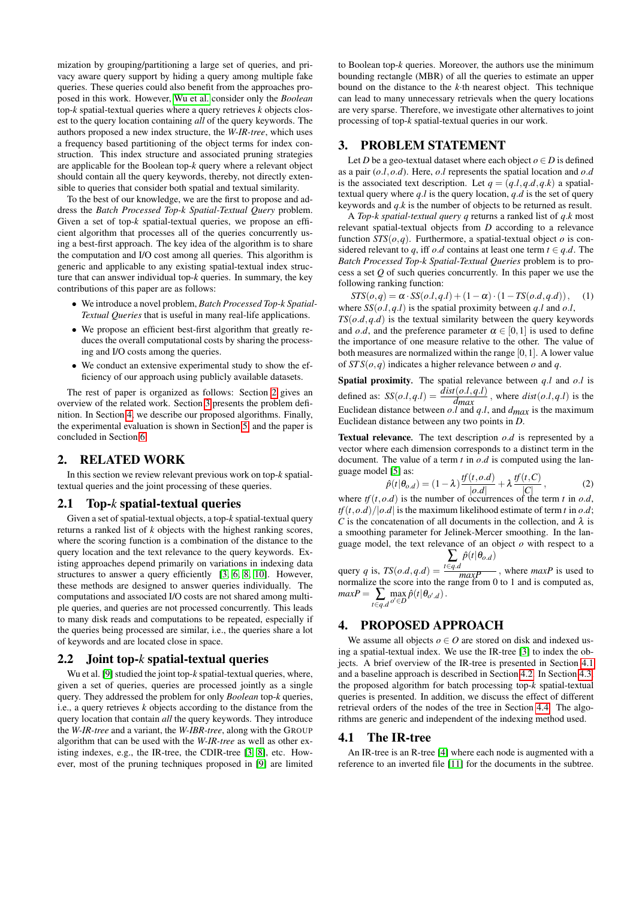mization by grouping/partitioning a large set of queries, and privacy aware query support by hiding a query among multiple fake queries. These queries could also benefit from the approaches proposed in this work. However, [Wu et al.](#page-5-6) consider only the *Boolean* top-*k* spatial-textual queries where a query retrieves *k* objects closest to the query location containing *all* of the query keywords. The authors proposed a new index structure, the *W-IR-tree*, which uses a frequency based partitioning of the object terms for index construction. This index structure and associated pruning strategies are applicable for the Boolean top-*k* query where a relevant object should contain all the query keywords, thereby, not directly extensible to queries that consider both spatial and textual similarity.

To the best of our knowledge, we are the first to propose and address the *Batch Processed Top-k Spatial-Textual Query* problem. Given a set of top-*k* spatial-textual queries, we propose an efficient algorithm that processes all of the queries concurrently using a best-first approach. The key idea of the algorithm is to share the computation and I/O cost among all queries. This algorithm is generic and applicable to any existing spatial-textual index structure that can answer individual top-*k* queries. In summary, the key contributions of this paper are as follows:

- We introduce a novel problem, *Batch Processed Top-k Spatial-Textual Queries* that is useful in many real-life applications.
- We propose an efficient best-first algorithm that greatly reduces the overall computational costs by sharing the processing and I/O costs among the queries.
- We conduct an extensive experimental study to show the efficiency of our approach using publicly available datasets.

The rest of paper is organized as follows: Section [2](#page-1-0) gives an overview of the related work. Section [3](#page-1-1) presents the problem definition. In Section [4,](#page-1-2) we describe our proposed algorithms. Finally, the experimental evaluation is shown in Section [5,](#page-3-0) and the paper is concluded in Section [6.](#page-5-7)

## <span id="page-1-0"></span>2. RELATED WORK

In this section we review relevant previous work on top-*k* spatialtextual queries and the joint processing of these queries.

## 2.1 Top-*k* spatial-textual queries

Given a set of spatial-textual objects, a top-*k* spatial-textual query returns a ranked list of *k* objects with the highest ranking scores, where the scoring function is a combination of the distance to the query location and the text relevance to the query keywords. Existing approaches depend primarily on variations in indexing data structures to answer a query efficiently [\[3,](#page-5-2) [6,](#page-5-3) [8,](#page-5-4) [10\]](#page-5-5). However, these methods are designed to answer queries individually. The computations and associated I/O costs are not shared among multiple queries, and queries are not processed concurrently. This leads to many disk reads and computations to be repeated, especially if the queries being processed are similar, i.e., the queries share a lot of keywords and are located close in space.

## 2.2 Joint top-*k* spatial-textual queries

Wu et al. [\[9\]](#page-5-6) studied the joint top-*k* spatial-textual queries, where, given a set of queries, queries are processed jointly as a single query. They addressed the problem for only *Boolean* top-*k* queries, i.e., a query retrieves *k* objects according to the distance from the query location that contain *all* the query keywords. They introduce the *W-IR-tree* and a variant, the *W-IBR-tree*, along with the GROUP algorithm that can be used with the *W-IR-tree* as well as other existing indexes, e.g., the IR-tree, the CDIR-tree [\[3,](#page-5-2) [8\]](#page-5-4), etc. However, most of the pruning techniques proposed in [\[9\]](#page-5-6) are limited

to Boolean top-*k* queries. Moreover, the authors use the minimum bounding rectangle (MBR) of all the queries to estimate an upper bound on the distance to the *k*·th nearest object. This technique can lead to many unnecessary retrievals when the query locations are very sparse. Therefore, we investigate other alternatives to joint processing of top-*k* spatial-textual queries in our work.

# <span id="page-1-1"></span>3. PROBLEM STATEMENT

Let *D* be a geo-textual dataset where each object  $o \in D$  is defined as a pair (*o*.*l*,*o*.*d*). Here, *o*.*l* represents the spatial location and *o*.*d* is the associated text description. Let  $q = (q, l, q, d, q, k)$  a spatialtextual query where *q*.*l* is the query location, *q*.*d* is the set of query keywords and *q*.*k* is the number of objects to be returned as result.

A *Top-k spatial-textual query q* returns a ranked list of *q*.*k* most relevant spatial-textual objects from *D* according to a relevance function  $STS(o,q)$ . Furthermore, a spatial-textual object *o* is considered relevant to *q*, iff *o.d* contains at least one term  $t \in q.d$ . The *Batch Processed Top-k Spatial-Textual Queries* problem is to process a set *Q* of such queries concurrently. In this paper we use the following ranking function:

 $STS(o,q) = \alpha \cdot SS(o.l,q.l) + (1-\alpha) \cdot (1 - TS(o.d,q.d)),$  (1) where  $SS(o.l, q.l)$  is the spatial proximity between  $q.l$  and  $o.l$ ,

 $TS(o.d, q.d)$  is the textual similarity between the query keywords and *o.d*, and the preference parameter  $\alpha \in [0,1]$  is used to define the importance of one measure relative to the other. The value of both measures are normalized within the range [0,1]. A lower value of  $STS(o,q)$  indicates a higher relevance between *o* and *q*.

Spatial proximity*.* The spatial relevance between *q*.*l* and *o*.*l* is defined as:  $SS(o.l, q.l) = \frac{dist(o.l, q.l)}{d_{max}}$ , where  $dist(o.l, q.l)$  is the Euclidean distance between *o*.*l* and *q*.*l*, and *dmax* is the maximum Euclidean distance between any two points in *D*.

**Textual relevance**. The text description  $o.d$  is represented by a vector where each dimension corresponds to a distinct term in the document. The value of a term *t* in *o*.*d* is computed using the language model [\[5\]](#page-5-8) as: *tf*(*t*,*o*.*d*) *tf*(*t*,*C*)

<span id="page-1-4"></span>
$$
\hat{p}(t|\theta_{o,d}) = (1-\lambda)\frac{tf(t,o.d)}{|o.d|} + \lambda\frac{tf(t,C)}{|C|},
$$
\n(2)

where  $tf(t, o.d)$  is the number of occurrences of the term *t* in *o.d*,  $tf(t, o, d)/|o, d|$  is the maximum likelihood estimate of term *t* in *o.d*; *C* is the concatenation of all documents in the collection, and  $\lambda$  is a smoothing parameter for Jelinek-Mercer smoothing. In the language model, the text relevance of an object *o* with respect to a

query *q* is,  $TS(o.d, q.d)$  =  $\sum_{t \in q.d} \hat{p}(t | \theta_{o.d})$ query q is,  $TS(o.d, q.d) = \frac{r=q.a}{maxP}$ , where  $maxP$  is used to normalize the score into the range from 0 to 1 and is computed as,  $maxP = \sum_{t \in q.d}$  $\max_{o' \in D} \hat{p}(t | \theta_{o',d})$ .

## <span id="page-1-2"></span>4. PROPOSED APPROACH

We assume all objects  $o \in O$  are stored on disk and indexed using a spatial-textual index. We use the IR-tree [\[3\]](#page-5-2) to index the objects. A brief overview of the IR-tree is presented in Section [4.1](#page-1-3) and a baseline approach is described in Section [4.2.](#page-2-0) In Section [4.3,](#page-2-1) the proposed algorithm for batch processing top-*k* spatial-textual queries is presented. In addition, we discuss the effect of different retrieval orders of the nodes of the tree in Section [4.4.](#page-3-1) The algorithms are generic and independent of the indexing method used.

#### <span id="page-1-3"></span>4.1 The IR-tree

An IR-tree is an R-tree [\[4\]](#page-5-9) where each node is augmented with a reference to an inverted file [\[11\]](#page-5-10) for the documents in the subtree.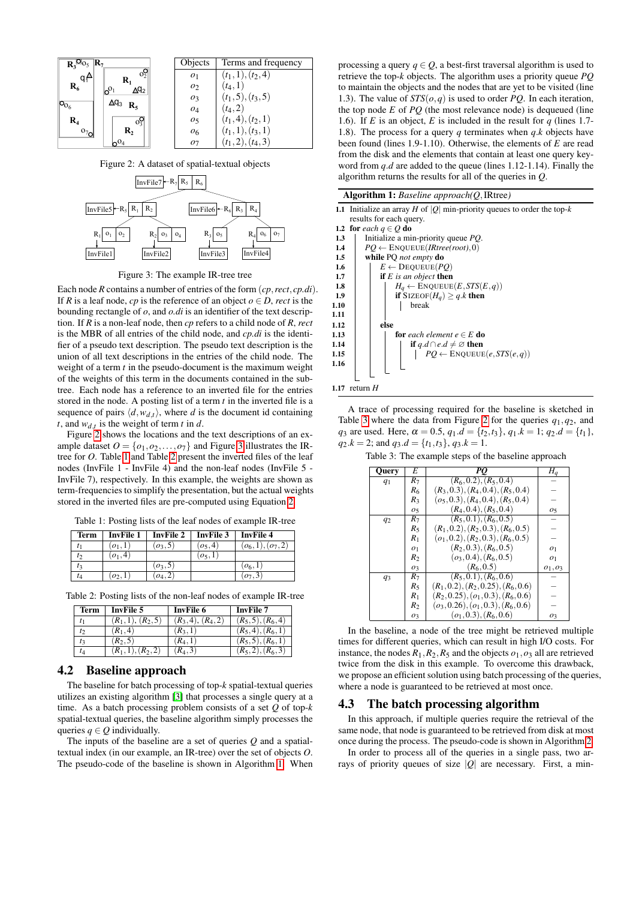<span id="page-2-2"></span>

Figure 2: A dataset of spatial-textual objects

<span id="page-2-3"></span>

Figure 3: The example IR-tree tree

Each node *R* contains a number of entries of the form (*cp*,*rect*, *cp.di*). If *R* is a leaf node, *cp* is the reference of an object  $o \in D$ , *rect* is the bounding rectangle of *o*, and *o.di* is an identifier of the text description. If *R* is a non-leaf node, then *cp* refers to a child node of *R*, *rect* is the MBR of all entries of the child node, and *cp.di* is the identifier of a pseudo text description. The pseudo text description is the union of all text descriptions in the entries of the child node. The weight of a term *t* in the pseudo-document is the maximum weight of the weights of this term in the documents contained in the subtree. Each node has a reference to an inverted file for the entries stored in the node. A posting list of a term *t* in the inverted file is a sequence of pairs  $\langle d, w_{d,t} \rangle$ , where *d* is the document id containing *t*, and  $w_{d,t}$  is the weight of term *t* in *d*.

Figure [2](#page-2-2) shows the locations and the text descriptions of an example dataset  $O = \{o_1, o_2, \ldots, o_7\}$  and Figure [3](#page-2-3) illustrates the IRtree for *O*. Table [1](#page-2-4) and Table [2](#page-2-5) present the inverted files of the leaf nodes (InvFile 1 - InvFile 4) and the non-leaf nodes (InvFile 5 - InvFile 7), respectively. In this example, the weights are shown as term-frequencies to simplify the presentation, but the actual weights stored in the inverted files are pre-computed using Equation [2.](#page-1-4)

<span id="page-2-4"></span>

|  |  |  | Table 1: Posting lists of the leaf nodes of example IR-tree |
|--|--|--|-------------------------------------------------------------|
|--|--|--|-------------------------------------------------------------|

| <b>Term</b> | <b>InvFile 1</b> | <b>InvFile 2</b> | <b>InvFile 3</b> | <b>InvFile 4</b>     |
|-------------|------------------|------------------|------------------|----------------------|
|             | $\{o_1, 1\}$     | $(0_3, 5)$       | $(o_5, 4)$       | $(o_6, 1), (o_7, 2)$ |
| I٥          | $\{o_1, 4,$      |                  | [0, 1]           |                      |
| t3          |                  | $(o_3, 5)$       |                  | $(o_6, 1)$           |
| tл          | $(o_2, 1)$       | [0.4, 2]         |                  | $(o_7, 3)$           |

<span id="page-2-5"></span>

| Table 2: Posting lists of the non-leaf nodes of example IR-tree |  |  |  |  |
|-----------------------------------------------------------------|--|--|--|--|
|-----------------------------------------------------------------|--|--|--|--|

| Term | <b>InvFile 5</b>     | <b>InvFile 6</b>     | <b>InvFile 7</b>     |
|------|----------------------|----------------------|----------------------|
|      | $(R_1, 1), (R_2, 5)$ | $(R_3, 4), (R_4, 2)$ | $(R_5, 5), (R_6, 4)$ |
| t    | $(R_1, 4)$           | $(R_3, 1)$           | $(R_5, 4), (R_6, 1)$ |
|      | $(R_2, 5)$           | $(R_4, 1)$           | $(R_5, 5), (R_6, 1)$ |
| tд   | $(R_1, 1), (R_2, 2)$ | $(R_4, 3)$           | $(R_5, 2), (R_6, 3)$ |

## <span id="page-2-0"></span>4.2 Baseline approach

The baseline for batch processing of top-*k* spatial-textual queries utilizes an existing algorithm [\[3\]](#page-5-2) that processes a single query at a time. As a batch processing problem consists of a set *Q* of top-*k* spatial-textual queries, the baseline algorithm simply processes the queries  $q \in Q$  individually.

The inputs of the baseline are a set of queries *Q* and a spatialtextual index (in our example, an IR-tree) over the set of objects *O*. The pseudo-code of the baseline is shown in Algorithm [1.](#page-2-6) When

processing a query  $q \in Q$ , a best-first traversal algorithm is used to retrieve the top-*k* objects. The algorithm uses a priority queue *PQ* to maintain the objects and the nodes that are yet to be visited (line 1.3). The value of  $STS(o,q)$  is used to order *PQ*. In each iteration, the top node *E* of *PQ* (the most relevance node) is dequeued (line 1.6). If *E* is an object, *E* is included in the result for *q* (lines 1.7- 1.8). The process for a query *q* terminates when *q*.*k* objects have been found (lines 1.9-1.10). Otherwise, the elements of *E* are read from the disk and the elements that contain at least one query keyword from *q*.*d* are added to the queue (lines 1.12-1.14). Finally the algorithm returns the results for all of the queries in *Q*.

<span id="page-2-6"></span>

| <b>Algorithm 1:</b> Baseline approach $(Q, \text{IRtree})$ |  |  |  |
|------------------------------------------------------------|--|--|--|
|------------------------------------------------------------|--|--|--|

|                                                         | 1.1 Initialize an array H of  Q  min-priority queues to order the top-k |
|---------------------------------------------------------|-------------------------------------------------------------------------|
| results for each query.                                 |                                                                         |
| 1.2 for each $q \in Q$ do                               |                                                                         |
| Initialize a min-priority queue PQ.<br>1.3              |                                                                         |
| $PQ \leftarrow$ ENQUEUE( <i>IRtree(root</i> ),0)<br>1.4 |                                                                         |
| while PQ not empty do<br>$1.5\,$                        |                                                                         |
| $E \leftarrow$ DEQUEUE( <i>PQ</i> )<br>1.6              |                                                                         |
| <b>if</b> $E$ is an object <b>then</b><br>1.7           |                                                                         |
| 1.8                                                     | $H_q \leftarrow$ ENQUEUE $(E, STS(E,q))$                                |
| 1.9                                                     | if SIZEOF( $H_a$ ) $\geq q.k$ then                                      |
| break<br>1.10                                           |                                                                         |
| 1.11                                                    |                                                                         |
| else<br>1.12                                            |                                                                         |
| 1.13                                                    | <b>for</b> each element $e \in E$ <b>do</b>                             |
| 1.14                                                    | <b>if</b> $q.d \cap e.d \neq \emptyset$ then                            |
| 1.15                                                    | $PQ \leftarrow$ ENQUEUE $(e, STS(e, q))$                                |
| 1.16                                                    |                                                                         |
|                                                         |                                                                         |
|                                                         |                                                                         |
| 1.17 return $H$                                         |                                                                         |

A trace of processing required for the baseline is sketched in Table [3](#page-2-7) where the data from Figure [2](#page-2-2) for the queries *q*1,*q*2, and *q*<sub>3</sub> are used. Here,  $\alpha = 0.5$ ,  $q_1.d = \{t_2,t_3\}$ ,  $q_1.k = 1$ ;  $q_2.d = \{t_1\}$ ,  $q_2.k = 2$ ; and  $q_3.d = \{t_1, t_3\}$ ,  $q_3.k = 1$ .

| Query          | E              | PQ                                       | $H_q$          |
|----------------|----------------|------------------------------------------|----------------|
| q <sub>1</sub> | $R_7$          | $(R_6, 0.2), (R_5, 0.4)$                 |                |
|                | $R_6$          | $(R_3, 0.3), (R_4, 0.4), (R_5, 0.4)$     |                |
|                | $R_3$          | $(o_5, 0.3), (R_4, 0.4), (R_5, 0.4)$     |                |
|                | O <sub>5</sub> | $(R_4, 0.4), (R_5, 0.4)$                 | O <sub>5</sub> |
| $q_2$          | $R_7$          | $(R_5, 0.1), (R_6, 0.5)$                 |                |
|                | $R_5$          | $(R_1, 0.2), (R_2, 0.3), (R_6, 0.5)$     |                |
|                | $R_1$          | $(o_1, 0.2), (R_2, 0.3), (R_6, 0.5)$     |                |
|                | 01             | $(R_2, 0.3), (R_6, 0.5)$                 | O <sub>1</sub> |
|                | R <sub>2</sub> | $(o_3, 0.4), (R_6, 0.5)$                 | O <sub>1</sub> |
|                | 03             | $(R_6, 0.5)$                             | $o_1, o_3$     |
| $q_3$          | $R_7$          | $(R_5, 0.1), (R_6, 0.6)$                 |                |
|                | $R_5$          | $(R_1, 0.2), (R_2, 0.25), (R_6, 0.6)$    |                |
|                | $R_1$          | $(R_2, 0.25), (\rho_1, 0.3), (R_6, 0.6)$ |                |
|                | $R_2$          | $(o_3, 0.26), (o_1, 0.3), (R_6, 0.6)$    |                |
|                | $O_3$          | $(o_1, 0.3), (R_6, 0.6)$                 | O <sub>3</sub> |

<span id="page-2-7"></span>Table 3: The example steps of the baseline approach

In the baseline, a node of the tree might be retrieved multiple times for different queries, which can result in high I/O costs. For instance, the nodes  $R_1, R_2, R_5$  and the objects  $o_1, o_3$  all are retrieved twice from the disk in this example. To overcome this drawback, we propose an efficient solution using batch processing of the queries, where a node is guaranteed to be retrieved at most once.

#### <span id="page-2-1"></span>4.3 The batch processing algorithm

In this approach, if multiple queries require the retrieval of the same node, that node is guaranteed to be retrieved from disk at most once during the process. The pseudo-code is shown in Algorithm [2.](#page-3-2)

In order to process all of the queries in a single pass, two arrays of priority queues of size |*Q*| are necessary. First, a min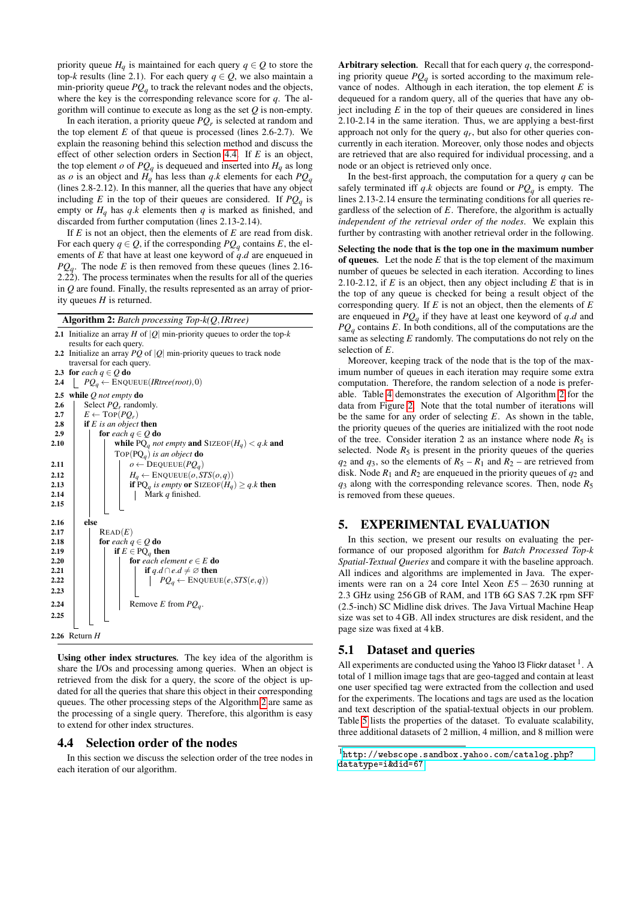priority queue  $H_q$  is maintained for each query  $q \in Q$  to store the top-*k* results (line 2.1). For each query  $q \in Q$ , we also maintain a min-priority queue  $PQ_q$  to track the relevant nodes and the objects, where the key is the corresponding relevance score for *q*. The algorithm will continue to execute as long as the set *Q* is non-empty.

In each iteration, a priority queue *PQ<sup>r</sup>* is selected at random and the top element  $E$  of that queue is processed (lines 2.6-2.7). We explain the reasoning behind this selection method and discuss the effect of other selection orders in Section [4.4.](#page-3-1) If *E* is an object, the top element *o* of  $PQ_q$  is dequeued and inserted into  $H_q$  as long as *o* is an object and  $H_q$  has less than *q*.*k* elements for each  $PQ_q$ (lines 2.8-2.12). In this manner, all the queries that have any object including *E* in the top of their queues are considered. If  $PQ_q$  is empty or  $H_q$  has  $q,k$  elements then  $q$  is marked as finished, and discarded from further computation (lines 2.13-2.14).

If *E* is not an object, then the elements of *E* are read from disk. For each query  $q \in Q$ , if the corresponding  $PQ_q$  contains *E*, the elements of *E* that have at least one keyword of *q*.*d* are enqueued in  $PQ_q$ . The node *E* is then removed from these queues (lines 2.16-2.22). The process terminates when the results for all of the queries in *Q* are found. Finally, the results represented as an array of priority queues *H* is returned.

<span id="page-3-2"></span>

| <b>Algorithm 2:</b> Batch processing $Top-k(Q, IRtree)$ |  |  |  |  |  |
|---------------------------------------------------------|--|--|--|--|--|
|---------------------------------------------------------|--|--|--|--|--|



Using other index structures*.* The key idea of the algorithm is share the I/Os and processing among queries. When an object is retrieved from the disk for a query, the score of the object is updated for all the queries that share this object in their corresponding queues. The other processing steps of the Algorithm [2](#page-3-2) are same as the processing of a single query. Therefore, this algorithm is easy to extend for other index structures.

## <span id="page-3-1"></span>4.4 Selection order of the nodes

In this section we discuss the selection order of the tree nodes in each iteration of our algorithm.

Arbitrary selection*.* Recall that for each query *q*, the corresponding priority queue *PQ<sup>q</sup>* is sorted according to the maximum relevance of nodes. Although in each iteration, the top element *E* is dequeued for a random query, all of the queries that have any object including *E* in the top of their queues are considered in lines 2.10-2.14 in the same iteration. Thus, we are applying a best-first approach not only for the query *qr*, but also for other queries concurrently in each iteration. Moreover, only those nodes and objects are retrieved that are also required for individual processing, and a node or an object is retrieved only once.

In the best-first approach, the computation for a query *q* can be safely terminated iff *q*.*k* objects are found or *PQ<sup>q</sup>* is empty. The lines 2.13-2.14 ensure the terminating conditions for all queries regardless of the selection of *E*. Therefore, the algorithm is actually *independent of the retrieval order of the nodes*. We explain this further by contrasting with another retrieval order in the following.

Selecting the node that is the top one in the maximum number of queues*.* Let the node *E* that is the top element of the maximum number of queues be selected in each iteration. According to lines 2.10-2.12, if *E* is an object, then any object including *E* that is in the top of any queue is checked for being a result object of the corresponding query. If *E* is not an object, then the elements of *E* are enqueued in *PQ<sup>q</sup>* if they have at least one keyword of *q*.*d* and  $PQ_a$  contains *E*. In both conditions, all of the computations are the same as selecting *E* randomly. The computations do not rely on the selection of *E*.

Moreover, keeping track of the node that is the top of the maximum number of queues in each iteration may require some extra computation. Therefore, the random selection of a node is preferable. Table [4](#page-4-0) demonstrates the execution of Algorithm [2](#page-3-2) for the data from Figure [2.](#page-2-2) Note that the total number of iterations will be the same for any order of selecting *E*. As shown in the table, the priority queues of the queries are initialized with the root node of the tree. Consider iteration 2 as an instance where node  $R_5$  is selected. Node  $R_5$  is present in the priority queues of the queries  $q_2$  and  $q_3$ , so the elements of  $R_5 - R_1$  and  $R_2$  – are retrieved from disk. Node  $R_1$  and  $R_2$  are enqueued in the priority queues of  $q_2$  and  $q_3$  along with the corresponding relevance scores. Then, node  $R_5$ is removed from these queues.

## <span id="page-3-0"></span>5. EXPERIMENTAL EVALUATION

In this section, we present our results on evaluating the performance of our proposed algorithm for *Batch Processed Top-k Spatial-Textual Queries* and compare it with the baseline approach. All indices and algorithms are implemented in Java. The experiments were ran on a 24 core Intel Xeon *E*5 − 2630 running at 2.3 GHz using 256 GB of RAM, and 1TB 6G SAS 7.2K rpm SFF (2.5-inch) SC Midline disk drives. The Java Virtual Machine Heap size was set to 4 GB. All index structures are disk resident, and the page size was fixed at 4 kB.

## 5.1 Dataset and queries

All experiments are conducted using the Yahoo I3 Flickr dataset  $<sup>1</sup>$ . A</sup> total of 1 million image tags that are geo-tagged and contain at least one user specified tag were extracted from the collection and used for the experiments. The locations and tags are used as the location and text description of the spatial-textual objects in our problem. Table [5](#page-4-1) lists the properties of the dataset. To evaluate scalability, three additional datasets of 2 million, 4 million, and 8 million were

<sup>1</sup>[http://webscope.sandbox.yahoo.com/catalog.php?](http://webscope.sandbox.yahoo.com/catalog.php?datatype=i&did=67) [datatype=i&did=67](http://webscope.sandbox.yahoo.com/catalog.php?datatype=i&did=67)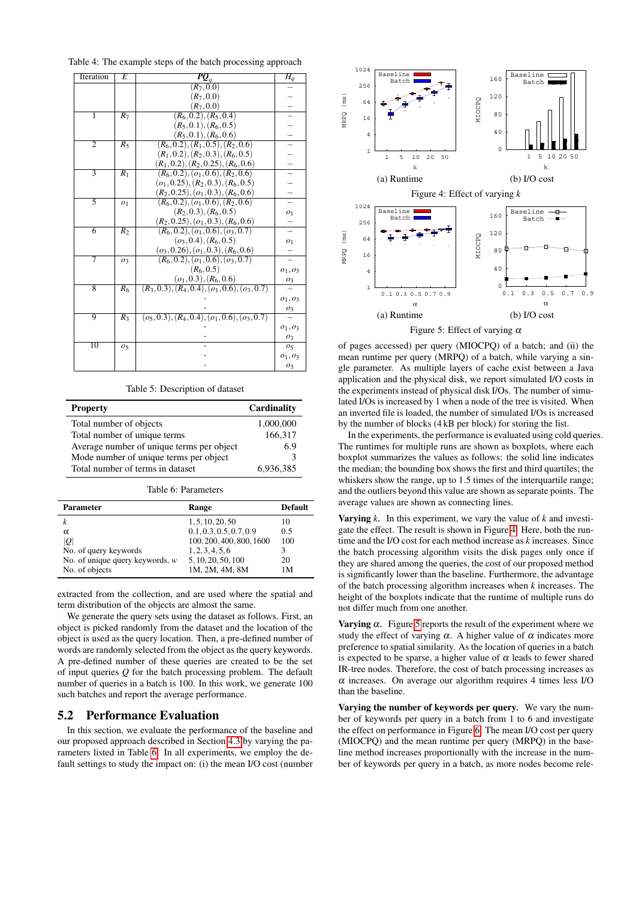<span id="page-4-0"></span>Table 4: The example steps of the batch processing approach

| Iteration      | E                | $\overline{\boldsymbol{PQ}}_q$                                                  | $H_q$            |
|----------------|------------------|---------------------------------------------------------------------------------|------------------|
|                |                  | $(R_7, 0.0)$                                                                    |                  |
|                |                  | $(R_7, 0.0)$                                                                    |                  |
|                |                  | $(R_7, 0.0)$                                                                    |                  |
| 1              | $R_7$            | $(R_6, 0.2), (R_5, 0.4)$                                                        |                  |
|                |                  | $(R_5, 0.1), (R_6, 0.5)$                                                        |                  |
|                |                  | $(R_5, 0.1), (R_6, 0.6)$                                                        |                  |
| $\overline{2}$ | $R_5$            | $(R_6, 0.2), (R_1, 0.5), (R_2, 0.6)$                                            |                  |
|                |                  | $(R_1, 0.2), (R_2, 0.3), (R_6, 0.5)$                                            |                  |
|                |                  | $(R_1, 0.2), (R_2, 0.25), (R_6, 0.6)$                                           |                  |
| 3              | $R_1$            | $(R_6, 0.2), (\rho_1, 0.6), (R_2, 0.6)$                                         |                  |
|                |                  | $(o_1, 0.25), (R_2, 0.3), (R_6, 0.5)$                                           |                  |
|                |                  | $(R_2, 0.25), (\rho_1, 0.3), (R_6, 0.6)$                                        |                  |
| 3              | O <sub>1</sub>   | $(R_6, 0.2), (\rho_1, 0.6), (R_2, 0.6)$                                         |                  |
|                |                  | $(R_2, 0.3), (R_6, 0.5)$                                                        | 01               |
|                |                  | $(R_2, 0.25), (\rho_1, 0.3), (R_6, 0.6)$                                        |                  |
| $\overline{6}$ | $\overline{R_2}$ | $(R_6, 0.2), (o_1, 0.6), (o_3, 0.7)$                                            |                  |
|                |                  | $(o_3, 0.4), (R_6, 0.5)$                                                        | $\overline{0}$ 1 |
|                |                  | $(o_3, 0.26), (o_1, 0.3), (R_6, 0.6)$                                           |                  |
| 7              | 03               | $(R_6, 0.2), (\rho_1, 0.6), (\rho_3, 0.7)$                                      |                  |
|                |                  | $(R_6, 0.5)$                                                                    | $o_1, o_3$       |
|                |                  | $\frac{(o_1, 0.3), (R_6, 0.6)}{(R_3, 0.3), (R_4, 0.4), (o_1, 0.6), (o_3, 0.7)}$ | $^{o_3}$         |
| 8              | $R_6$            |                                                                                 |                  |
|                |                  |                                                                                 | $o_1, o_3$       |
|                |                  |                                                                                 | $\mathfrak{o}_3$ |
| 9              | $\overline{R_3}$ | $(o_5, 0.3), (R_4, 0.4), (o_1, 0.6), (o_3, 0.7)$                                |                  |
|                |                  |                                                                                 | $o_1, o_3$       |
|                |                  |                                                                                 | O <sub>3</sub>   |
| 10             | 05               |                                                                                 | 05               |
|                |                  |                                                                                 | $o_1, o_3$       |
|                |                  |                                                                                 | 03               |

Table 5: Description of dataset

<span id="page-4-1"></span>

| <b>Property</b>                           | Cardinality |
|-------------------------------------------|-------------|
| Total number of objects                   | 1,000,000   |
| Total number of unique terms              | 166,317     |
| Average number of unique terms per object | 6.9         |
| Mode number of unique terms per object    | 3           |
| Total number of terms in dataset          | 6,936,385   |

Table 6: Parameters

<span id="page-4-2"></span>

| <b>Parameter</b>                  | Range                    | <b>Default</b> |
|-----------------------------------|--------------------------|----------------|
|                                   | 1, 5, 10, 20, 50         | 10             |
| α                                 | 0.1, 0.3, 0.5, 0.7, 0.9  | 0.5            |
| Q                                 | 100, 200, 400, 800, 1600 | 100            |
| No. of query keywords             | 1, 2, 3, 4, 5, 6         |                |
| No. of unique query keywords, $w$ | 5, 10, 20, 50, 100       | 20             |
| No. of objects                    | 1M, 2M, 4M, 8M           | 1М             |

extracted from the collection, and are used where the spatial and term distribution of the objects are almost the same.

We generate the query sets using the dataset as follows. First, an object is picked randomly from the dataset and the location of the object is used as the query location. Then, a pre-defined number of words are randomly selected from the object as the query keywords. A pre-defined number of these queries are created to be the set of input queries *Q* for the batch processing problem. The default number of queries in a batch is 100. In this work, we generate 100 such batches and report the average performance.

## 5.2 Performance Evaluation

In this section, we evaluate the performance of the baseline and our proposed approach described in Section [4.3](#page-2-1) by varying the parameters listed in Table [6.](#page-4-2) In all experiments, we employ the default settings to study the impact on: (i) the mean I/O cost (number

<span id="page-4-4"></span><span id="page-4-3"></span>

Figure 5: Effect of varying  $\alpha$ 

of pages accessed) per query (MIOCPQ) of a batch; and (ii) the mean runtime per query (MRPQ) of a batch, while varying a single parameter. As multiple layers of cache exist between a Java application and the physical disk, we report simulated I/O costs in the experiments instead of physical disk I/Os. The number of simulated I/Os is increased by 1 when a node of the tree is visited. When an inverted file is loaded, the number of simulated I/Os is increased by the number of blocks (4 kB per block) for storing the list.

In the experiments, the performance is evaluated using cold queries. The runtimes for multiple runs are shown as boxplots, where each boxplot summarizes the values as follows: the solid line indicates the median; the bounding box shows the first and third quartiles; the whiskers show the range, up to 1.5 times of the interquartile range; and the outliers beyond this value are shown as separate points. The average values are shown as connecting lines.

**Varying**  $k$ . In this experiment, we vary the value of  $k$  and investigate the effect. The result is shown in Figure [4.](#page-4-3) Here, both the runtime and the I/O cost for each method increase as *k* increases. Since the batch processing algorithm visits the disk pages only once if they are shared among the queries, the cost of our proposed method is significantly lower than the baseline. Furthermore, the advantage of the batch processing algorithm increases when *k* increases. The height of the boxplots indicate that the runtime of multiple runs do not differ much from one another.

Varying  $\alpha$ . Figure [5](#page-4-4) reports the result of the experiment where we study the effect of varying  $\alpha$ . A higher value of  $\alpha$  indicates more preference to spatial similarity. As the location of queries in a batch is expected to be sparse, a higher value of  $\alpha$  leads to fewer shared IR-tree nodes. Therefore, the cost of batch processing increases as  $\alpha$  increases. On average our algorithm requires 4 times less I/O than the baseline.

Varying the number of keywords per query*.* We vary the number of keywords per query in a batch from 1 to 6 and investigate the effect on performance in Figure [6.](#page-5-11) The mean I/O cost per query (MIOCPQ) and the mean runtime per query (MRPQ) in the baseline method increases proportionally with the increase in the number of keywords per query in a batch, as more nodes become rele-